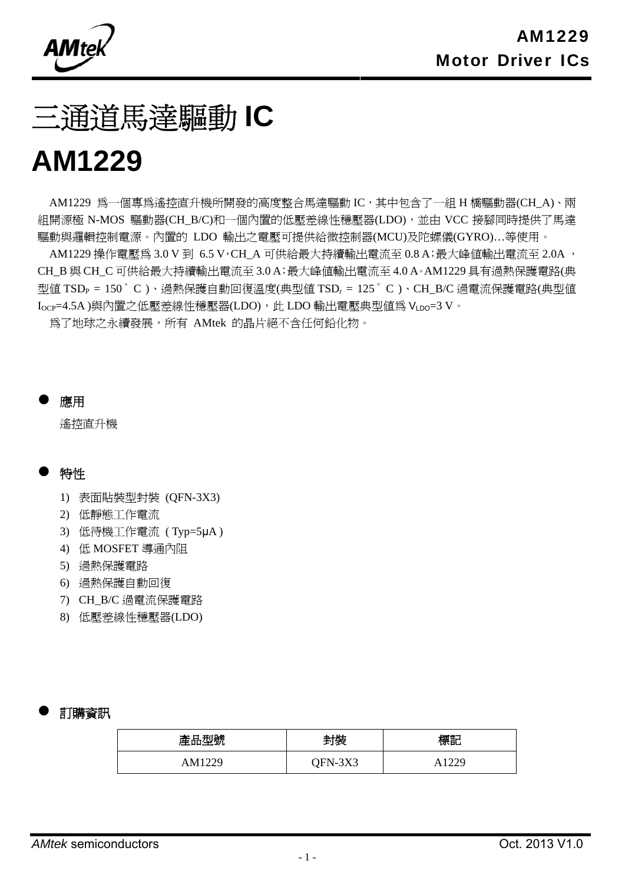**AMtel** 

# 三通道馬達驅動 **IC**

## **AM1229**

AM1229 為一個專為遙控直升機所開發的高度整合馬達驅動 IC,其中包含了一組 H 橋驅動器(CH\_A)、兩 組開源極 N-MOS 驅動器(CH\_B/C)和一個內置的低壓差線性穩壓器(LDO), 並由 VCC 接腳同時提供了馬達 驅動與邏輯控制電源。內置的 LDO 輸出之電壓可提供給微控制器(MCU)及陀螺儀(GYRO)…等使用。

AM1229 操作電壓為 3.0 V 到 6.5 V, CH\_A 可供給最大持續輸出電流至 0.8 A;最大峰值輸出電流至 2.0A, CH\_B 與 CH\_C 可供給最大持續輸出電流至 3.0 A;最大峰值輸出電流至 4.0 A。AM1229 具有過熱保護電路(典 型值 TSD<sub>P</sub> = 150 $\degree$  C )、過熱保護自動回復溫度(典型值 TSD<sub>r</sub> = 125 $\degree$  C )、CH\_B/C 過電流保護電路(典型値 I<sub>OCP</sub>=4.5A )與內置之低壓差線性穩壓器(LDO), 此 LDO 輸出電壓典型値為 V<sub>LDO</sub>=3 V。

為了地球之永續發展,所有 AMtek 的晶片絕不含任何鉛化物。

應用

遙控直升機

#### 特性

- 1) 表面貼裝型封裝 (QFN-3X3)
- 2) 低靜態工作電流
- 3) 低待機工作電流 ( Typ=5μA )
- 4) 低 MOSFET 導通內阻
- 5) 過熱保護電路
- 6) 過熱保護自動回復
- 7) CH\_B/C 過電流保護電路
- 8) 低壓差線性穩壓器(LDO)

#### 訂購資訊

| 產品型號   | 封裝      | 漂記   |
|--------|---------|------|
| AM1229 | QFN-3X3 | 122c |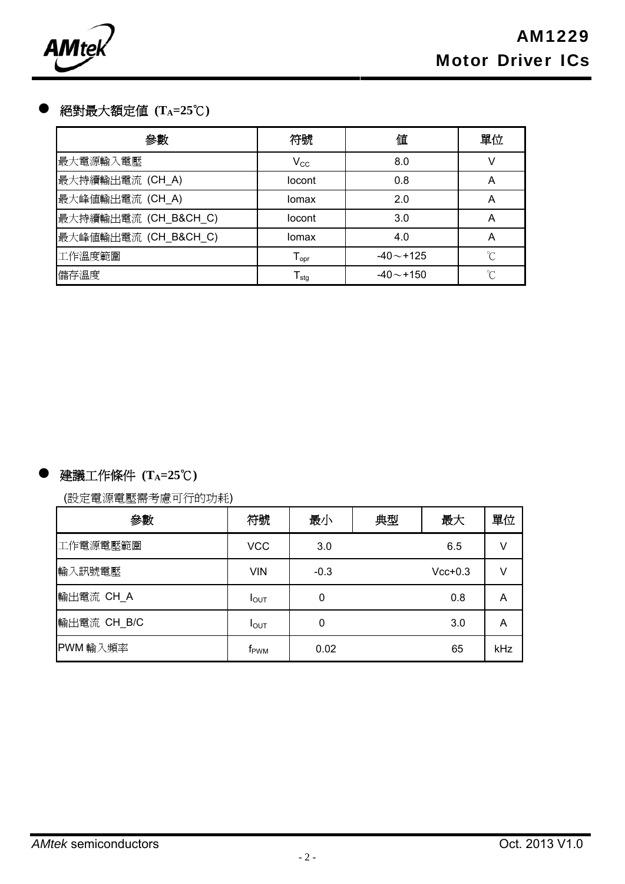

#### 絕對最大額定值 **(TA=25**℃**)**

| 參數                   | 符號                           | 値            | 單位 |
|----------------------|------------------------------|--------------|----|
| 最大電源輸入電壓             | $V_{\rm CC}$                 | 8.0          | V  |
| 最大持續輸出電流 (CH_A)      | locont                       | 0.8          | А  |
| 最大峰值輸出電流 (CH_A)      | Iomax                        | 2.0          | А  |
| 最大持續輸出電流 (CH_B&CH_C) | locont                       | 3.0          | А  |
| 最大峰值輸出電流 (CH_B&CH_C) | Iomax                        | 4.0          | А  |
| 工作溫度範圍               | ${\mathsf T}_{\textsf{opr}}$ | $-40 - +125$ | ℃  |
| 儲存溫度                 | $\mathsf{T}_{\text{stg}}$    | $-40 - +150$ | ℃  |

## 建議工作條件 **(TA=25**℃**)**

(設定電源電壓需考慮可行的功耗)

| 參數          | 符號               | 最小     | 典型 | 最大        | 單位  |
|-------------|------------------|--------|----|-----------|-----|
| 工作電源電壓範圍    | <b>VCC</b>       | 3.0    |    | 6.5       | v   |
| 輸入訊號電壓      | <b>VIN</b>       | $-0.3$ |    | $Vcc+0.3$ | V   |
| 輸出電流 CH_A   | $I_{\text{OUT}}$ | 0      |    | 0.8       | Α   |
| 輸出電流 CH_B/C | I <sub>OUT</sub> | 0      |    | 3.0       | A   |
| PWM 輸入頻率    | f <sub>PWM</sub> | 0.02   |    | 65        | kHz |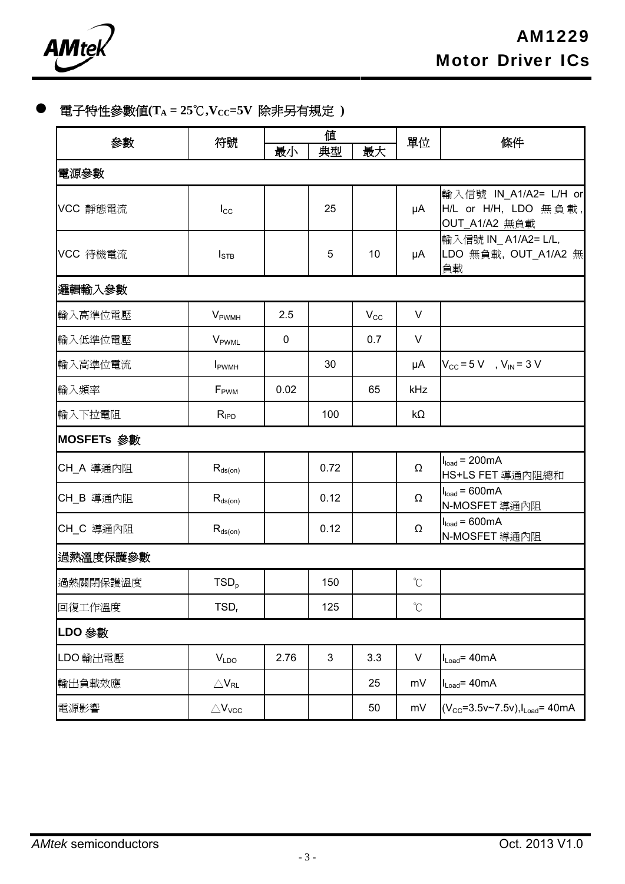

## 電子特性參數値(TA = 25℃,Vcc=5V 除非另有規定 )

| 參數         | 符號                          | 値           |      | 單位           | 條件                |                                                                |  |  |
|------------|-----------------------------|-------------|------|--------------|-------------------|----------------------------------------------------------------|--|--|
|            |                             | 最小          | 典型   | 最大           |                   |                                                                |  |  |
| 電源参數       |                             |             |      |              |                   |                                                                |  |  |
| VCC 靜態電流   | $I_{\rm CC}$                |             | 25   |              | μA                | 輸入信號 IN_A1/A2= L/H or<br>H/L or H/H, LDO 無負載,<br>OUT_A1/A2 無負載 |  |  |
| VCC 待機電流   | $I_{\text{STB}}$            |             | 5    | 10           | μA                | 輸入信號 IN_A1/A2= L/L,<br>LDO 無負載, OUT_A1/A2 無<br>負載              |  |  |
| 邏輯輸入參數     |                             |             |      |              |                   |                                                                |  |  |
| 輸入高準位電壓    | <b>V</b> <sub>PWMH</sub>    | 2.5         |      | $V_{\rm CC}$ | V                 |                                                                |  |  |
| 輸入低準位電壓    | <b>V</b> <sub>PWML</sub>    | $\mathbf 0$ |      | 0.7          | V                 |                                                                |  |  |
| 輸入高準位電流    | <b>I</b> <sub>PWMH</sub>    |             | 30   |              | μA                | $V_{\text{CC}} = 5 \text{ V}$ , $V_{\text{IN}} = 3 \text{ V}$  |  |  |
| 輸入頻率       | F <sub>PWM</sub>            | 0.02        |      | 65           | kHz               |                                                                |  |  |
| 輸入下拉電阻     | $R_{\text{IPD}}$            |             | 100  |              | $k\Omega$         |                                                                |  |  |
| MOSFETs 參數 |                             |             |      |              |                   |                                                                |  |  |
| CH_A 導通內阻  | $R_{ds(on)}$                |             | 0.72 |              | Ω                 | $Iload = 200mA$<br>HS+LS FET 導通內阻總和                            |  |  |
| CH_B 導通內阻  | $R_{ds(on)}$                |             | 0.12 |              | Ω                 | $Iload = 600mA$<br>N-MOSFET 導通內阻                               |  |  |
| CH_C 導通內阻  | $R_{ds(on)}$                |             | 0.12 |              | Ω                 | $Iload = 600mA$<br>N-MOSFET 導通內阻                               |  |  |
| 過熱溫度保護參數   |                             |             |      |              |                   |                                                                |  |  |
| 過熱關閉保護溫度   | TSD <sub>p</sub>            |             | 150  |              | $\mathrm{C}$      |                                                                |  |  |
| 回復工作溫度     | TSD <sub>r</sub>            |             | 125  |              | $^\circ\!{\rm C}$ |                                                                |  |  |
| LDO 參數     |                             |             |      |              |                   |                                                                |  |  |
| LDO 輸出電壓   | V <sub>LDO</sub>            | 2.76        | 3    | 3.3          | $\sf V$           | $I_{Load} = 40mA$                                              |  |  |
| 輸出負載效應     | $\triangle$ V <sub>RL</sub> |             |      | 25           | mV                | $I_{Load} = 40mA$                                              |  |  |
| 電源影響       | $\triangle V_{VCC}$         |             |      | 50           | mV                | $(V_{CC} = 3.5v - 7.5v), I_{Load} = 40mA$                      |  |  |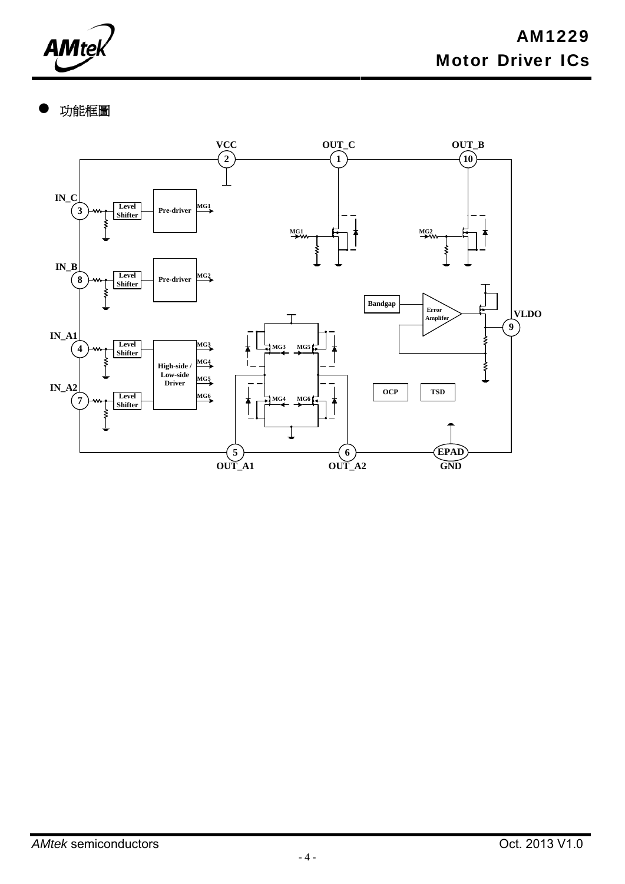

功能框圖

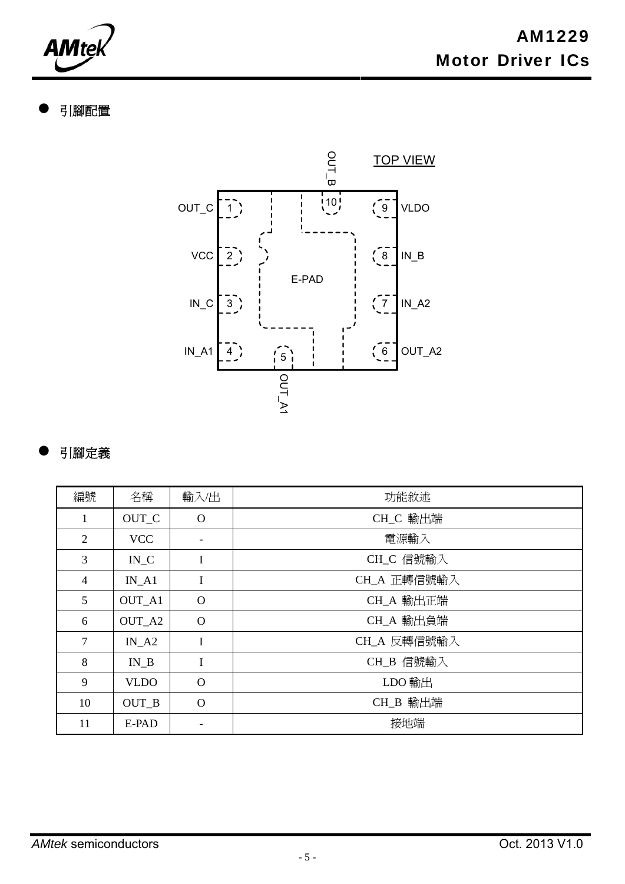**AMtek** 

## 引腳配置



## 引腳定義

| 編號             | 名稱                | 輸入出                      | 功能敘述        |
|----------------|-------------------|--------------------------|-------------|
| $\mathbf{1}$   | OUT_C             | $\Omega$                 | CH_C 輸出端    |
| $\overline{2}$ | <b>VCC</b>        | $\overline{\phantom{a}}$ | 電源輸入        |
| 3              | $IN_C$            | I                        | CH_C 信號輸入   |
| $\overline{4}$ | $IN_A1$           | I                        | CH_A 正轉信號輸入 |
| 5              | OUT_A1            | $\Omega$                 | CH_A 輸出正端   |
| 6              | OUT_A2            | $\Omega$                 | CH_A 輸出負端   |
| $\tau$         | $IN_A2$           | I                        | CH_A 反轉信號輸入 |
| 8              | $IN$ <sub>B</sub> | I                        | CH_B 信號輸入   |
| 9              | <b>VLDO</b>       | $\Omega$                 | LDO 輸出      |
| 10             | OUT_B             | $\Omega$                 | CH_B 輸出端    |
| 11             | E-PAD             |                          | 接地端         |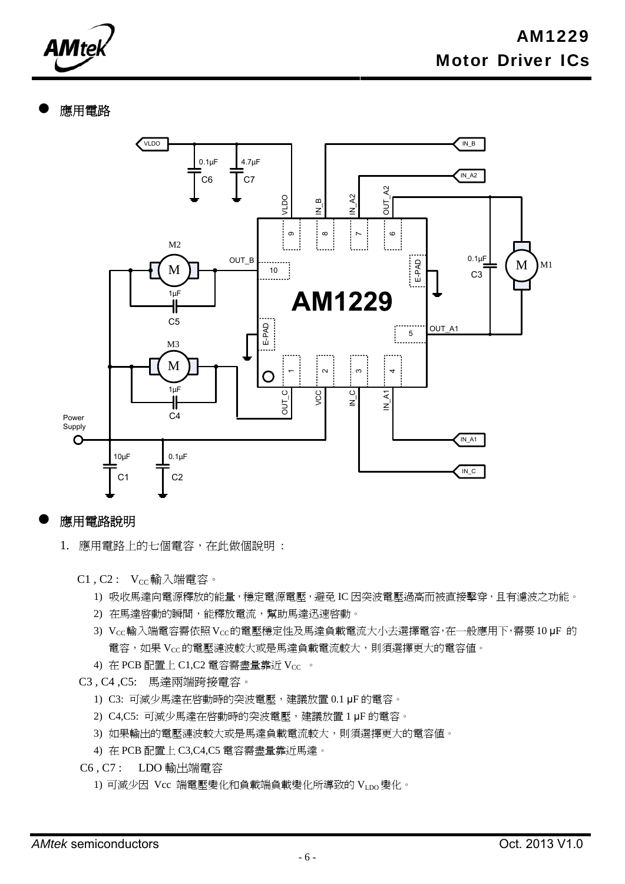**AMtek** 

#### 應用電路



#### 應用電路說明

- 1. 應用電路上的七個電容,在此做個說明 :
	- $C1$ ,  $C2$ :  $V_{CC}$ 輸入端電容。
		- 1) 吸收馬達向電源釋放的能量,穩定電源電壓,避免 IC 因突波電壓過高而被直接擊穿,且有濾波之功能。
		- 2) 在馬達啓動的瞬間,能釋放電流,幫助馬達迅速啓動。
		- 3) Vcc輸入端電容需依照Vcc的電壓穩定性及馬達負載電流大小去選擇電容,在一般應用下,需要10μF 的 電容,如果 VCC的電壓漣波較大或是馬達負載電流較大,則須選擇更大的電容值。
		- 4) 在 PCB 配置上 C1,C2 電容需盡量靠近 Vcc 。
	- C3 , C4 ,C5: 馬達兩端跨接電容。
		- 1) C3: 可減少馬達在啟動時的突波電壓,建議放置 0.1 μF 的電容。
		- 2) C4,C5: 可減少馬達在啟動時的突波電壓,建議放置 1 μF 的電容。
		- 3) 如果輸出的電壓漣波較大或是馬達負載電流較大,則須選擇更大的電容值。
		- 4) 在 PCB 配置上 C3,C4,C5 電容需盡量靠近馬達。
	- C6 , C7 : LDO 輸出端電容
		- 1) 可減少因 Vcc 端電壓變化和負載端負載變化所導致的 VLDO變化。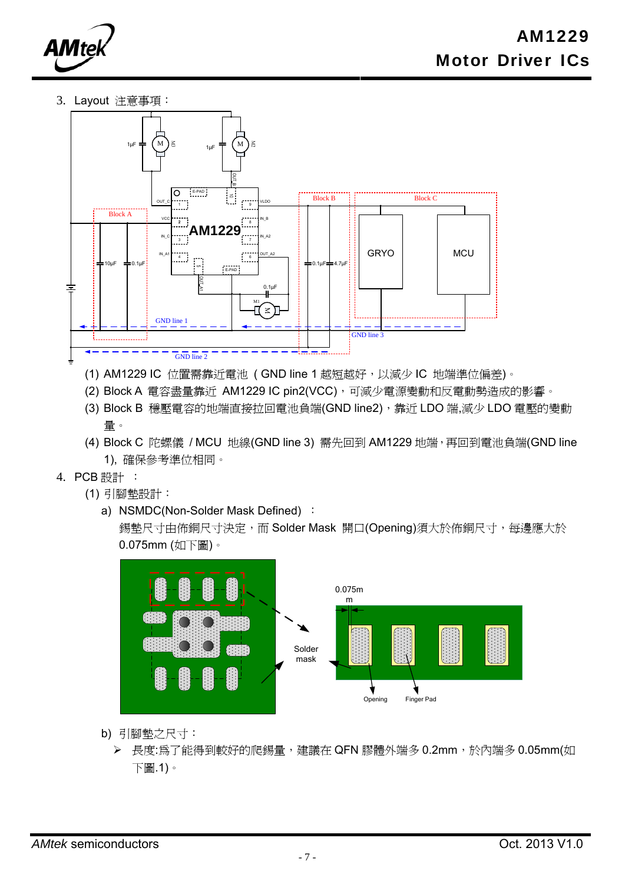

3. Layout 注意事項:



- (1) AM1229 IC 位置需靠近電池 ( GND line 1 越短越好, 以減少 IC 地端準位偏差)。
- (2) Block A 電容盡量靠近 AM1229 IC pin2(VCC),可減少電源變動和反電動勢造成的影響。
- (3) Block B 穩壓電容的地端直接拉回電池負端(GND line2), 靠近 LDO 端,減少 LDO 電壓的變動 量。
- (4) Block C 陀螺儀 / MCU 地線(GND line 3) 需先回到 AM1229 地端,再回到電池負端(GND line 1), 確保參考準位相同。
- 4. PCB 設計 :
	- (1) 引腳墊設計:
		- a) NSMDC(Non-Solder Mask Defined) :

錫墊尺寸由佈銅尺寸決定,而 Solder Mask 開口(Opening)須大於佈銅尺寸,每邊應大於 0.075mm (如下圖)。



- b) 引腳墊之尺寸:
	- ▶ 長度:為了能得到較好的爬錫量, 建議在 QFN 膠體外端多 0.2mm,於內端多 0.05mm(如 下圖.1)。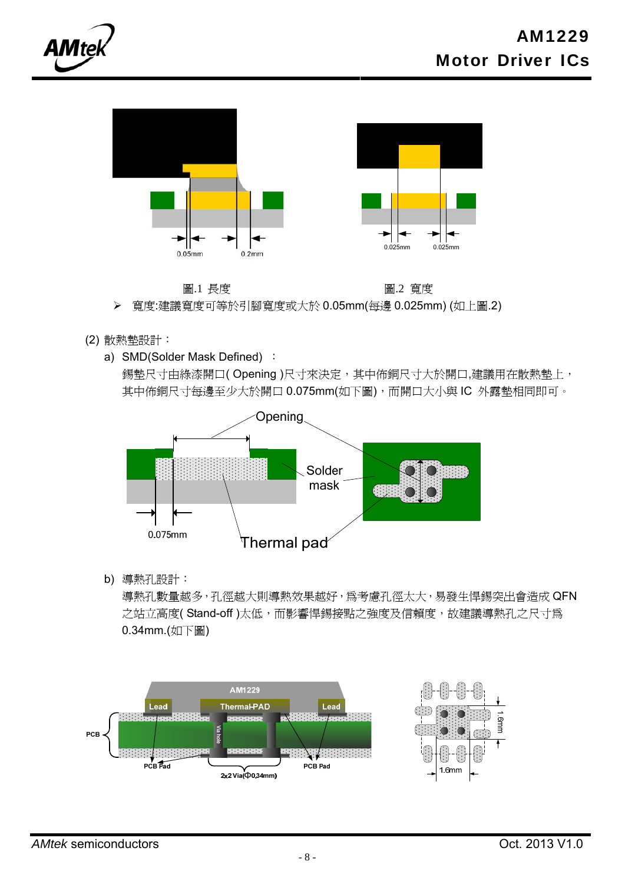



 圖.1 長度 圖.2 寬度 寬度:建議寬度可等於引腳寬度或大於 0.05mm(每邊 0.025mm) (如上圖.2)

- (2) 散熱墊設計:
	- a) SMD(Solder Mask Defined) :

錫墊尺寸由綠漆開口(Opening)尺寸來決定,其中佈銅尺寸大於開口,建議用在散熱墊上, 其中佈銅尺寸每邊至少大於開口 0.075mm(如下圖), 而開口大小與 IC 外露墊相同即可。



b) 導熱孔設計:

導熱孔數量越多,孔徑越大則導熱效果越好,為考慮孔徑太大,易發生悍錫突出會造成 QFN 之站立高度(Stand-off)太低,而影響悍錫接點之強度及信賴度,故建議導熱孔之尺寸為 0.34mm.(如下圖)



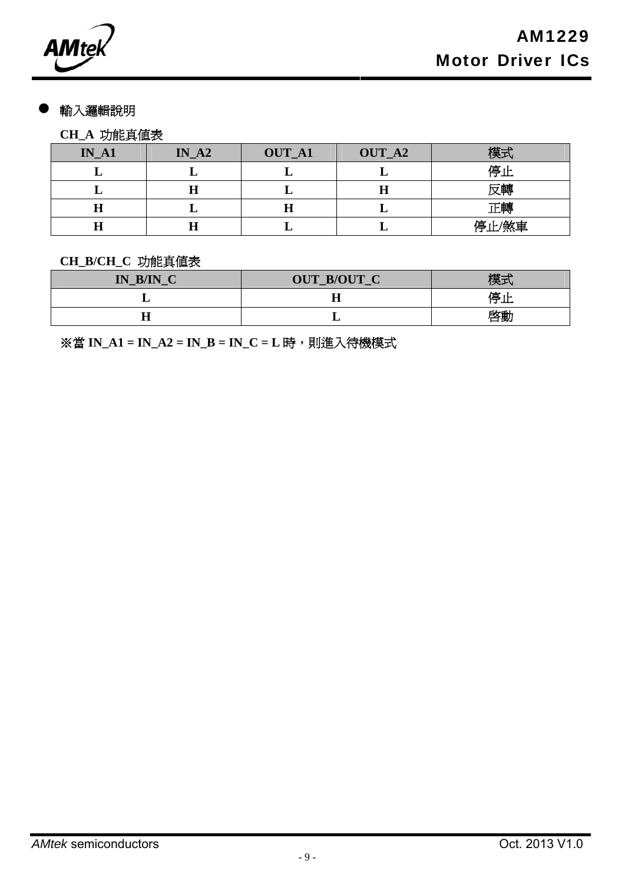**AMtek** 

#### 輸入邏輯說明

## **CH\_A** 功能真值表

| $IN_A1$ | $IN_A2$ | <b>OUT_A1</b> | OUT_A2 | 模式    |
|---------|---------|---------------|--------|-------|
|         |         |               |        | 停止    |
|         | Н       |               |        | 反轉    |
|         |         | п             |        | 正轉    |
|         |         |               |        | 停止/煞車 |

#### **CH\_B/CH\_C** 功能真值表

| P/IN<br>$\sim$<br>$\mathbf{IN}_{\perp}$ | OUT_B/OUT_C | 模式       |
|-----------------------------------------|-------------|----------|
|                                         |             | 停止<br>יי |
|                                         |             | 啓動       |

※當 **IN\_A1 = IN\_A2 = IN\_B = IN\_C = L** 時, 則進入待機模式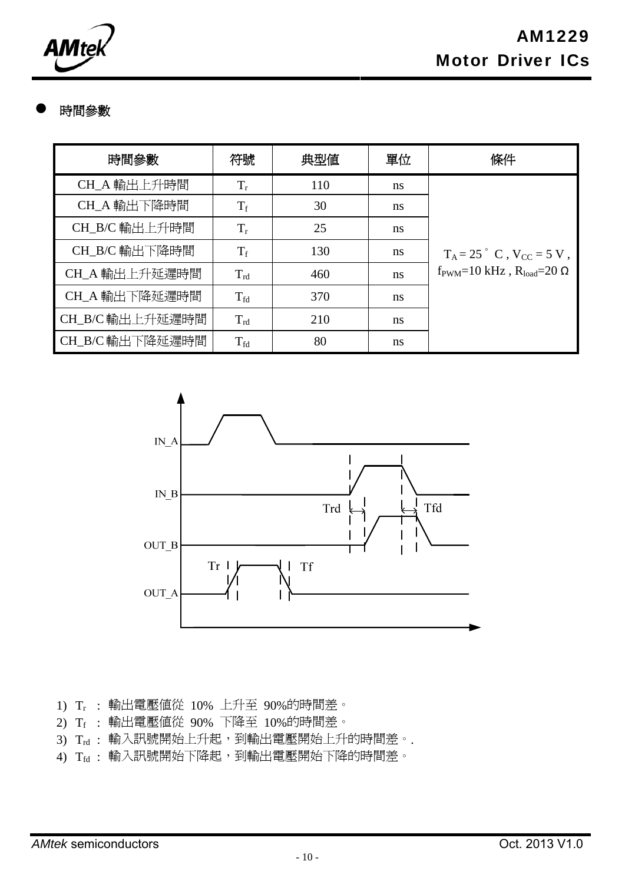**AMt** 

## 時間參數

| 時間參數            | 符號                | 典型値 | 單位 | 條件                                                            |
|-----------------|-------------------|-----|----|---------------------------------------------------------------|
| CH_A 輸出上升時間     | $T_r$             | 110 | ns |                                                               |
| CH_A 輸出下降時間     | $T_f$             | 30  | ns |                                                               |
| CH_B/C 輸出上升時間   | $T_r$             | 25  | ns |                                                               |
| CH_B/C 輸出下降時間   | $T_f$             | 130 | ns | $T_A = 25$ ° C, $V_{CC} = 5 V$ ,                              |
| CH_A 輸出上升延遲時間   | $T_{\rm rd}$      | 460 | ns | $f_{\text{PWM}}=10 \text{ kHz}$ , $R_{\text{load}}=20 \Omega$ |
| CH_A 輸出下降延遲時間   | $T_{\rm fd}$      | 370 | ns |                                                               |
| CH_B/C 輸出上升延遲時間 | $T_{\rm rd}$      | 210 | ns |                                                               |
| CH_B/C 輸出下降延遲時間 | $T_{\mathrm{fd}}$ | 80  | ns |                                                               |



1) Tr : 輸出電壓值從 10% 上升至 90%的時間差。

- 2) Tf : 輸出電壓值從 90% 下降至 10%的時間差。
- 3) Trd : 輸入訊號開始上升起,到輸出電壓開始上升的時間差。.
- 4) Tfd : 輸入訊號開始下降起,到輸出電壓開始下降的時間差。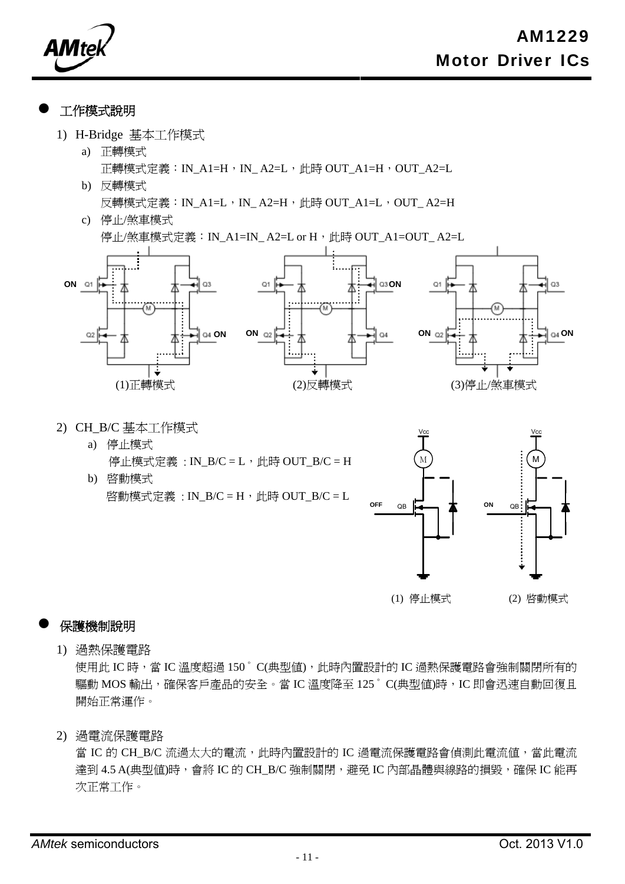**AMte** 

#### 工作模式說明

- 1) H-Bridge 基本工作模式
	- a) 正轉模式 正轉模式定義:IN\_A1=H,IN\_A2=L,此時 OUT\_A1=H,OUT\_A2=L
	- b) 反轉模式 反轉模式定義:IN\_A1=L,IN\_A2=H,此時 OUT\_A1=L,OUT\_A2=H
	- c) 停止/煞車模式

停止/煞車模式定義: IN\_A1=IN\_A2=L or H, 此時 OUT\_A1=OUT\_A2=L



- 2) CH\_B/C 基本工作模式
	- a) 停止模式 停止模式定義: IN\_B/C = L, 此時 OUT\_B/C = H
	- b) 啓動模式 啓動模式定義: IN\_B/C = H, 此時 OUT\_B/C = L



(1) 停止模式 (2) 啟動模式

#### 保護機制說明

1) 過熱保護電路

使用此 IC 時,當 IC 溫度超過 150°C(典型值),此時內置設計的 IC 過熱保護電路會強制關閉所有的 驅動 MOS 輸出,確保客戶產品的安全。當 IC 溫度降至 125° C(典型值)時, IC 即會迅速自動回復且 開始正常運作。

2) 過電流保護電路

當 IC 的 CH\_B/C 流過太大的電流, 此時內置設計的 IC 過電流保護電路會偵測此電流值,當此電流 達到 4.5 A(典型值)時,會將 IC 的 CH\_B/C 強制關閉,避免 IC 內部晶體與線路的損毀,確保 IC 能再 次正常工作。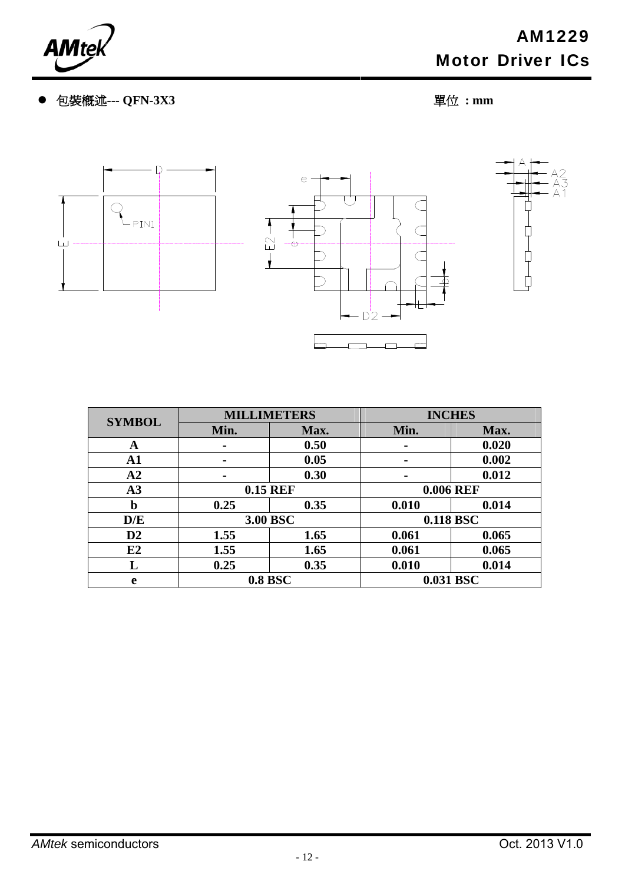

包裝概述**--- QFN-3X3** 單位 **: mm** 



| <b>SYMBOL</b>  |                 | <b>MILLIMETERS</b> | <b>INCHES</b>    |           |  |
|----------------|-----------------|--------------------|------------------|-----------|--|
|                | Min.<br>Max.    |                    | Min.             | Max.      |  |
| A              | ۰               | 0.50               | ۰                | 0.020     |  |
| $\mathbf{A1}$  | $\blacksquare$  | 0.05               | $\blacksquare$   | 0.002     |  |
| A <sub>2</sub> | $\blacksquare$  | 0.30               | $\blacksquare$   | 0.012     |  |
| A3             | <b>0.15 REF</b> |                    | <b>0.006 REF</b> |           |  |
| b              | 0.25            | 0.35               | 0.010            | 0.014     |  |
| D/E            |                 | 3.00 BSC           |                  | 0.118 BSC |  |
| $\mathbf{D}2$  | 1.55            | 1.65               | 0.061            | 0.065     |  |
| E2             | 1.55            | 1.65               | 0.061            | 0.065     |  |
| L              | 0.25            | 0.35               | 0.010            | 0.014     |  |
| e              | <b>0.8 BSC</b>  |                    |                  | 0.031 BSC |  |